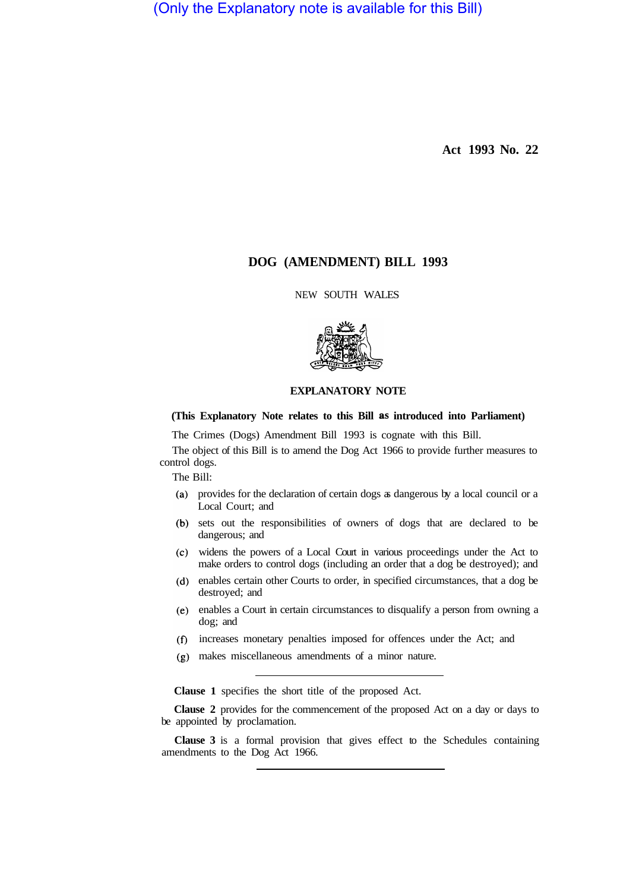(Only the Explanatory note is available for this Bill)

**Act 1993 No. 22** 

# **DOG (AMENDMENT) BILL 1993**

NEW SOUTH WALES



# **EXPLANATORY NOTE**

# **(This Explanatory Note relates to this Bill as introduced into Parliament)**

The Crimes (Dogs) Amendment Bill 1993 is cognate with this Bill.

The object of this Bill is to amend the Dog Act 1966 to provide further measures to control dogs.

The Bill:

- provides for the declaration of certain dogs as dangerous by a local council or a Local Court; and
- sets out the responsibilities of owners of dogs that are declared to be dangerous; and
- widens the powers of a Local Court in various proceedings under the Act to make orders to control dogs (including an order that a dog be destroyed); and
- enables certain other Courts to order, in specified circumstances, that a dog be destroyed; and
- enables a Court in certain circumstances to disqualify a person from owning a dog; and
- increases monetary penalties imposed for offences under the Act; and
- makes miscellaneous amendments of a minor nature.

**Clause 1** specifies the short title of the proposed Act.

**Clause 2** provides for the commencement of the proposed Act on a day or days to be appointed by proclamation.

**Clause 3** is a formal provision that gives effect to the Schedules containing amendments to the Dog Act 1966.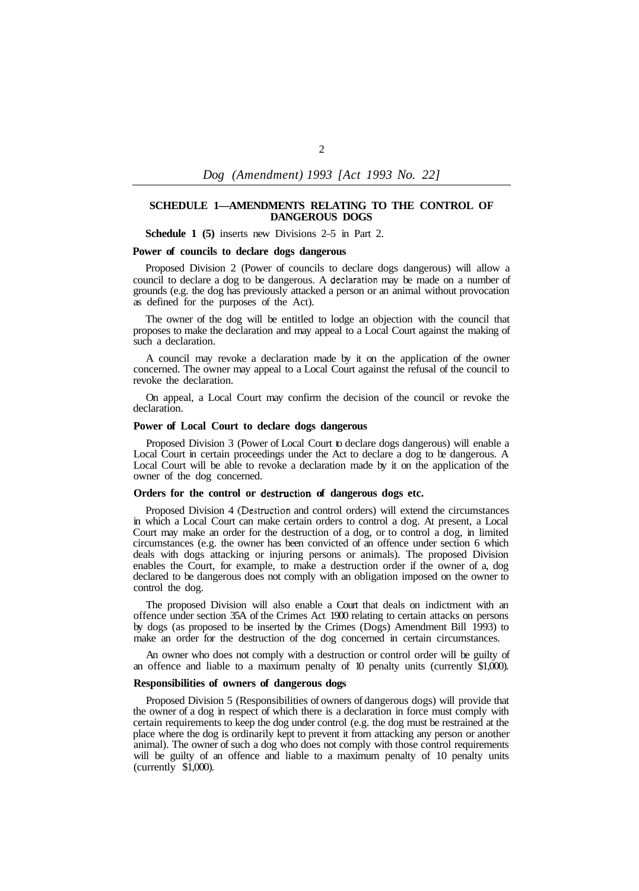*Dog (Amendment) 1993 [Act 1993 No. 22]* 

### **SCHEDULE 1—AMENDMENTS RELATING TO THE CONTROL OF DANGEROUS DOGS**

**Schedule 1 (5)** inserts new Divisions 2–5 in Part 2.

#### **Power of councils to declare dogs dangerous**

Proposed Division 2 (Power of councils to declare dogs dangerous) will allow a council to declare a dog to be dangerous. A declaration may be made on a number of grounds (e.g. the dog has previously attacked a person or an animal without provocation as defined for the purposes of the Act).

The owner of the dog will be entitled to lodge an objection with the council that proposes to make the declaration and may appeal to a Local Court against the making of such a declaration.

A council may revoke a declaration made by it on the application of the owner concerned. The owner may appeal to a Local Court against the refusal of the council to revoke the declaration.

On appeal, a Local Court may confirm the decision of the council or revoke the declaration.

#### **Power of Local Court to declare dogs dangerous**

Proposed Division 3 (Power of Local Court to declare dogs dangerous) will enable a Local Court in certain proceedings under the Act to declare a dog to be dangerous. A Local Court will be able to revoke a declaration made by it on the application of the owner of the dog concerned.

#### **Orders for the control or destruction of dangerous dogs etc.**

Proposed Division 4 (Destruction and control orders) will extend the circumstances in which a Local Court can make certain orders to control a dog. At present, a Local Court may make an order for the destruction of a dog, or to control a dog, in limited circumstances (e.g. the owner has been convicted of an offence under section 6 which deals with dogs attacking or injuring persons or animals). The proposed Division enables the Court, for example, to make a destruction order if the owner of a, dog declared to be dangerous does not comply with an obligation imposed on the owner to control the dog.

The proposed Division will also enable a Court that deals on indictment with an offence under section 35A of the Crimes Act 1900 relating to certain attacks on persons by dogs (as proposed to be inserted by the Crimes (Dogs) Amendment Bill 1993) to make an order for the destruction of the dog concerned in certain circumstances.

An owner who does not comply with a destruction or control order will be guilty of an offence and liable to a maximum penalty of 10 penalty units (currently \$1,000).

#### **Responsibilities of owners of dangerous dogs**

Proposed Division 5 (Responsibilities of owners of dangerous dogs) will provide that the owner of a dog in respect of which there is a declaration in force must comply with certain requirements to keep the dog under control (e.g. the dog must be restrained at the place where the dog is ordinarily kept to prevent it from attacking any person or another animal). The owner of such a dog who does not comply with those control requirements will be guilty of an offence and liable to a maximum penalty of 10 penalty units (currently \$1,000).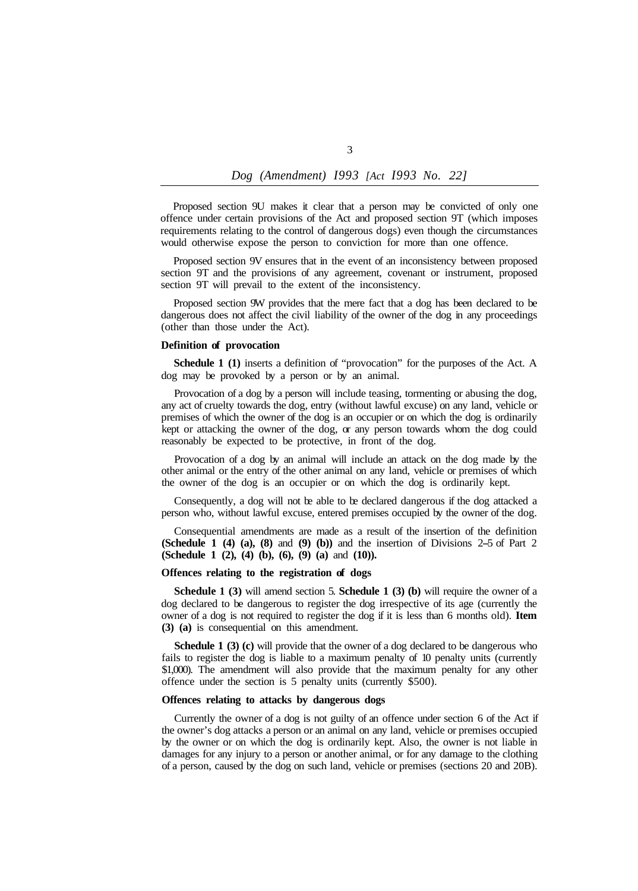# *Dog (Amendment) I993 [Act I993 No. 22]*

Proposed section 9U makes it clear that a person may be convicted of only one offence under certain provisions of the Act and proposed section 9T (which imposes requirements relating to the control of dangerous dogs) even though the circumstances would otherwise expose the person to conviction for more than one offence.

Proposed section 9V ensures that in the event of an inconsistency between proposed section 9T and the provisions of any agreement, covenant or instrument, proposed section 9T will prevail to the extent of the inconsistency.

Proposed section 9W provides that the mere fact that a dog has been declared to be dangerous does not affect the civil liability of the owner of the dog in any proceedings (other than those under the Act).

#### **Definition of provocation**

**Schedule 1 (1)** inserts a definition of "provocation" for the purposes of the Act. A dog may be provoked by a person or by an animal.

Provocation of a dog by a person will include teasing, tormenting or abusing the dog, any act of cruelty towards the dog, entry (without lawful excuse) on any land, vehicle or premises of which the owner of the dog is an occupier or on which the dog is ordinarily kept or attacking the owner of the dog, or any person towards whom the dog could reasonably be expected to be protective, in front of the dog.

Provocation of a dog by an animal will include an attack on the dog made by the other animal or the entry of the other animal on any land, vehicle or premises of which the owner of the dog is an occupier or on which the dog is ordinarily kept.

Consequently, a dog will not be able to be declared dangerous if the dog attacked a person who, without lawful excuse, entered premises occupied by the owner of the dog.

Consequential amendments are made as a result of the insertion of the definition **(Schedule 1 (4) (a), (8)** and **(9) (b))** and the insertion of Divisions 2-5 of Part 2 **(Schedule 1 (2), (4) (b), (6), (9) (a)** and **(10)).** 

#### **Offences relating to the registration of dogs**

**Schedule 1 (3)** will amend section 5. **Schedule 1 (3) (b)** will require the owner of a dog declared to be dangerous to register the dog irrespective of its age (currently the owner of a dog is not required to register the dog if it is less than 6 months old). **Item (3) (a)** is consequential on this amendment.

**Schedule 1 (3) (c)** will provide that the owner of a dog declared to be dangerous who fails to register the dog is liable to a maximum penalty of 10 penalty units (currently \$1,000). The amendment will also provide that the maximum penalty for any other offence under the section is 5 penalty units (currently \$500).

### **Offences relating to attacks by dangerous dogs**

Currently the owner of a dog is not guilty of an offence under section 6 of the Act if the owner's dog attacks a person or an animal on any land, vehicle or premises occupied by the owner or on which the dog is ordinarily kept. Also, the owner is not liable in damages for any injury to a person or another animal, or for any damage to the clothing of a person, caused by the dog on such land, vehicle or premises (sections 20 and 20B).